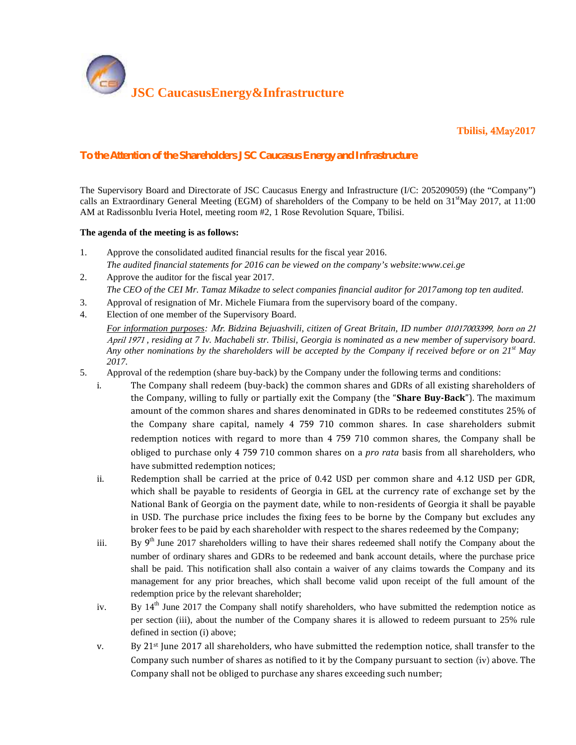

**Tbilisi, 4May2017**

## *To the Attention of the Shareholders JSC Caucasus Energy and Infrastructure*

The Supervisory Board and Directorate of JSC Caucasus Energy and Infrastructure (I/C: 205209059) (the "Company") calls an Extraordinary General Meeting (EGM) of shareholders of the Company to be held on  $31<sup>st</sup>$ May 2017, at 11:00 AM at Radissonblu Iveria Hotel, meeting room #2, 1 Rose Revolution Square, Tbilisi.

## **The agenda of the meeting is as follows:**

- 1. Approve the consolidated audited financial results for the fiscal year 2016. *The audited financial statements for 2016 can be viewed on the company's website:www.cei.ge*
- 2. Approve the auditor for the fiscal year 2017. *The CEO of the CEI Mr. Tamaz Mikadze to select companies financial auditor for 2017among top ten audited.*
- 3. Approval of resignation of Mr. Michele Fiumara from the supervisory board of the company.
- 4. Election of one member of the Supervisory Board.

*For information purposes: Mr. Bidzina Bejuashvili, citizen of Great Britain, ID number 01017003399, born on 21 April 1971 , residing at 7 Iv. Machabeli str. Tbilisi, Georgia is nominated as a new member of supervisory board. Any other nominations by the shareholders will be accepted by the Company if received before or on 21st May 2017.*

- 5. Approval of the redemption (share buy-back) by the Company under the following terms and conditions:
	- i. The Company shall redeem (buy-back) the common shares and GDRs of all existing shareholders of the Company, willing to fully or partially exit the Company (the "**Share Buy-Back**"). The maximum amount of the common shares and shares denominated in GDRs to be redeemed constitutes 25% of the Company share capital, namely 4 759 710 common shares. In case shareholders submit redemption notices with regard to more than 4 759 710 common shares, the Company shall be obliged to purchase only 4 759 710 common shares on a *pro rata* basis from all shareholders, who have submitted redemption notices;
	- ii. Redemption shall be carried at the price of 0.42 USD per common share and 4.12 USD per GDR, which shall be payable to residents of Georgia in GEL at the currency rate of exchange set by the National Bank of Georgia on the payment date, while to non-residents of Georgia it shall be payable in USD. The purchase price includes the fixing fees to be borne by the Company but excludes any broker fees to be paid by each shareholder with respect to the shares redeemed by the Company;
	- iii. By 9<sup>th</sup> June 2017 shareholders willing to have their shares redeemed shall notify the Company about the number of ordinary shares and GDRs to be redeemed and bank account details, where the purchase price shall be paid. This notification shall also contain a waiver of any claims towards the Company and its management for any prior breaches, which shall become valid upon receipt of the full amount of the redemption price by the relevant shareholder;
	- iv. By 14<sup>th</sup> June 2017 the Company shall notify shareholders, who have submitted the redemption notice as per section (iii), about the number of the Company shares it is allowed to redeem pursuant to 25% rule defined in section (i) above;
	- v. By 21st June 2017 all shareholders, who have submitted the redemption notice, shall transfer to the Company such number of shares as notified to it by the Company pursuant to section (iv) above. The Company shall not be obliged to purchase any shares exceeding such number;